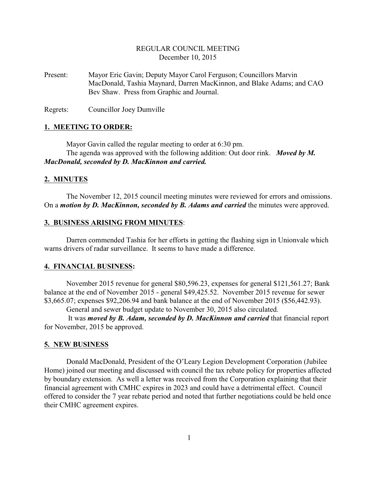# REGULAR COUNCIL MEETING December 10, 2015

Present: Mayor Eric Gavin; Deputy Mayor Carol Ferguson; Councillors Marvin MacDonald, Tashia Maynard, Darren MacKinnon, and Blake Adams; and CAO Bev Shaw. Press from Graphic and Journal.

Regrets: Councillor Joey Dumville

#### **1. MEETING TO ORDER:**

Mayor Gavin called the regular meeting to order at 6:30 pm. The agenda was approved with the following addition: Out door rink. *Moved by M. MacDonald, seconded by D. MacKinnon and carried.*

#### **2. MINUTES**

The November 12, 2015 council meeting minutes were reviewed for errors and omissions. On a *motion by D. MacKinnon, seconded by B. Adams and carried* the minutes were approved.

## **3. BUSINESS ARISING FROM MINUTES**:

Darren commended Tashia for her efforts in getting the flashing sign in Unionvale which warns drivers of radar surveillance. It seems to have made a difference.

## **4. FINANCIAL BUSINESS:**

November 2015 revenue for general \$80,596.23, expenses for general \$121,561.27; Bank balance at the end of November 2015 - general \$49,425.52. November 2015 revenue for sewer \$3,665.07; expenses \$92,206.94 and bank balance at the end of November 2015 (\$56,442.93).

General and sewer budget update to November 30, 2015 also circulated.

 It was *moved by B. Adam, seconded by D. MacKinnon and carried* that financial report for November, 2015 be approved.

#### **5. NEW BUSINESS**

Donald MacDonald, President of the O'Leary Legion Development Corporation (Jubilee Home) joined our meeting and discussed with council the tax rebate policy for properties affected by boundary extension. As well a letter was received from the Corporation explaining that their financial agreement with CMHC expires in 2023 and could have a detrimental effect. Council offered to consider the 7 year rebate period and noted that further negotiations could be held once their CMHC agreement expires.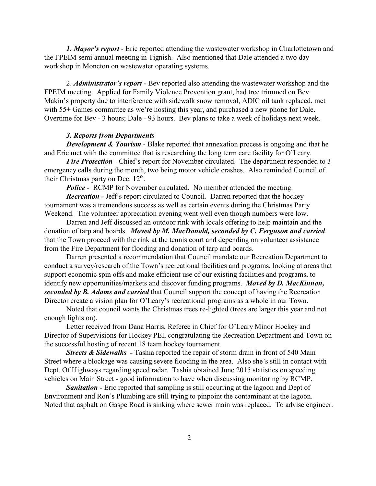*1. Mayor's report* - Eric reported attending the wastewater workshop in Charlottetown and the FPEIM semi annual meeting in Tignish. Also mentioned that Dale attended a two day workshop in Moncton on wastewater operating systems.

2. *Administrator's report -* Bev reported also attending the wastewater workshop and the FPEIM meeting. Applied for Family Violence Prevention grant, had tree trimmed on Bev Makin's property due to interference with sidewalk snow removal, ADIC oil tank replaced, met with 55+ Games committee as we're hosting this year, and purchased a new phone for Dale. Overtime for Bev - 3 hours; Dale - 93 hours. Bev plans to take a week of holidays next week.

### *3. Reports from Departments*

*Development & Tourism* - Blake reported that annexation process is ongoing and that he and Eric met with the committee that is researching the long term care facility for O'Leary.

*Fire Protection* - Chief's report for November circulated. The department responded to 3 emergency calls during the month, two being motor vehicle crashes. Also reminded Council of their Christmas party on Dec.  $12<sup>th</sup>$ .

*Police* - RCMP for November circulated. No member attended the meeting.

*Recreation -* Jeff's report circulated to Council. Darren reported that the hockey tournament was a tremendous success as well as certain events during the Christmas Party Weekend. The volunteer appreciation evening went well even though numbers were low.

Darren and Jeff discussed an outdoor rink with locals offering to help maintain and the donation of tarp and boards. *Moved by M. MacDonald, seconded by C. Ferguson and carried* that the Town proceed with the rink at the tennis court and depending on volunteer assistance from the Fire Department for flooding and donation of tarp and boards.

Darren presented a recommendation that Council mandate our Recreation Department to conduct a survey/research of the Town's recreational facilities and programs, looking at areas that support economic spin offs and make efficient use of our existing facilities and programs, to identify new opportunities/markets and discover funding programs. *Moved by D. MacKinnon, seconded by B. Adams and carried* that Council support the concept of having the Recreation Director create a vision plan for O'Leary's recreational programs as a whole in our Town.

Noted that council wants the Christmas trees re-lighted (trees are larger this year and not enough lights on).

Letter received from Dana Harris, Referee in Chief for O'Leary Minor Hockey and Director of Supervisions for Hockey PEI, congratulating the Recreation Department and Town on the successful hosting of recent 18 team hockey tournament.

*Streets & Sidewalks* - Tashia reported the repair of storm drain in front of 540 Main Street where a blockage was causing severe flooding in the area. Also she's still in contact with Dept. Of Highways regarding speed radar. Tashia obtained June 2015 statistics on speeding vehicles on Main Street - good information to have when discussing monitoring by RCMP.

**Sanitation -** Eric reported that sampling is still occurring at the lagoon and Dept of Environment and Ron's Plumbing are still trying to pinpoint the contaminant at the lagoon. Noted that asphalt on Gaspe Road is sinking where sewer main was replaced. To advise engineer.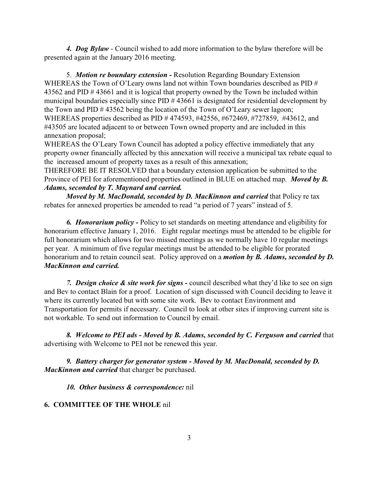*4. Dog Bylaw* - Council wished to add more information to the bylaw therefore will be presented again at the January 2016 meeting.

5. *Motion re boundary extension -* Resolution Regarding Boundary Extension WHEREAS the Town of O'Leary owns land not within Town boundaries described as PID # 43562 and PID # 43661 and it is logical that property owned by the Town be included within municipal boundaries especially since PID # 43661 is designated for residential development by the Town and PID # 43562 being the location of the Town of O'Leary sewer lagoon; WHEREAS properties described as PID # 474593, #42556, #672469, #727859, #43612, and #43505 are located adjacent to or between Town owned property and are included in this annexation proposal;

WHEREAS the O'Leary Town Council has adopted a policy effective immediately that any property owner financially affected by this annexation will receive a municipal tax rebate equal to the increased amount of property taxes as a result of this annexation;

THEREFORE BE IT RESOLVED that a boundary extension application be submitted to the Province of PEI for aforementioned properties outlined in BLUE on attached map. *Moved by B. Adams, seconded by T. Maynard and carried.*

*Moved by M. MacDonald, seconded by D. MacKinnon and carried* that Policy re tax rebates for annexed properties be amended to read "a period of 7 years" instead of 5.

*6. Honorarium policy -* Policy to set standards on meeting attendance and eligibility for honorarium effective January 1, 2016. Eight regular meetings must be attended to be eligible for full honorarium which allows for two missed meetings as we normally have 10 regular meetings per year. A minimum of five regular meetings must be attended to be eligible for prorated honorarium and to retain council seat. Policy approved on a *motion by B. Adams, seconded by D. MacKinnon and carried.*

*7. Design choice & site work for signs -* council described what they'd like to see on sign and Bev to contact Blain for a proof. Location of sign discussed with Council deciding to leave it where its currently located but with some site work. Bev to contact Environment and Transportation for permits if necessary. Council to look at other sites if improving current site is not workable. To send out information to Council by email.

*8. Welcome to PEI ads - Moved by B. Adams, seconded by C. Ferguson and carried* that advertising with Welcome to PEI not be renewed this year.

*9. Battery charger for generator system - Moved by M. MacDonald, seconded by D. MacKinnon and carried* that charger be purchased.

*10. Other business & correspondence:* nil

# **6. COMMITTEE OF THE WHOLE** nil